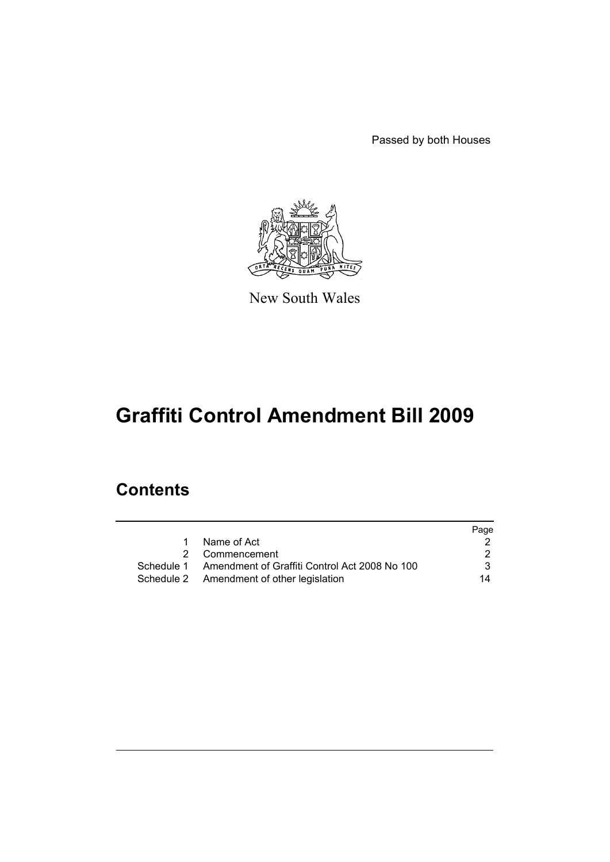Passed by both Houses



New South Wales

# **Graffiti Control Amendment Bill 2009**

# **Contents**

|   |                                                          | Page |
|---|----------------------------------------------------------|------|
| 1 | Name of Act                                              |      |
|   | 2 Commencement                                           |      |
|   | Schedule 1 Amendment of Graffiti Control Act 2008 No 100 | 3.   |
|   | Schedule 2 Amendment of other legislation                | 14   |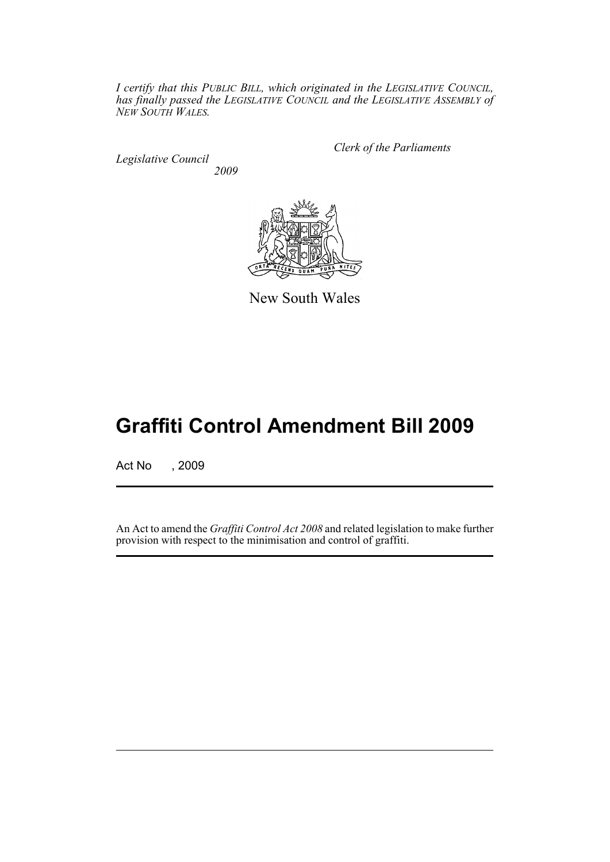*I certify that this PUBLIC BILL, which originated in the LEGISLATIVE COUNCIL, has finally passed the LEGISLATIVE COUNCIL and the LEGISLATIVE ASSEMBLY of NEW SOUTH WALES.*

*Legislative Council 2009* *Clerk of the Parliaments*



New South Wales

# **Graffiti Control Amendment Bill 2009**

Act No , 2009

An Act to amend the *Graffiti Control Act 2008* and related legislation to make further provision with respect to the minimisation and control of graffiti.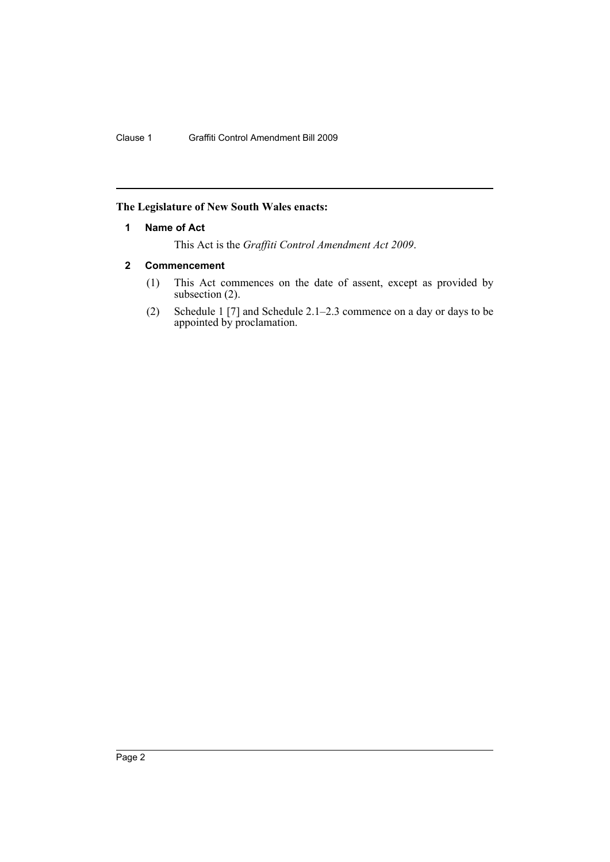# <span id="page-2-0"></span>**The Legislature of New South Wales enacts:**

## **1 Name of Act**

This Act is the *Graffiti Control Amendment Act 2009*.

# <span id="page-2-1"></span>**2 Commencement**

- (1) This Act commences on the date of assent, except as provided by subsection  $(2)$ .
- (2) Schedule 1 [7] and Schedule 2.1–2.3 commence on a day or days to be appointed by proclamation.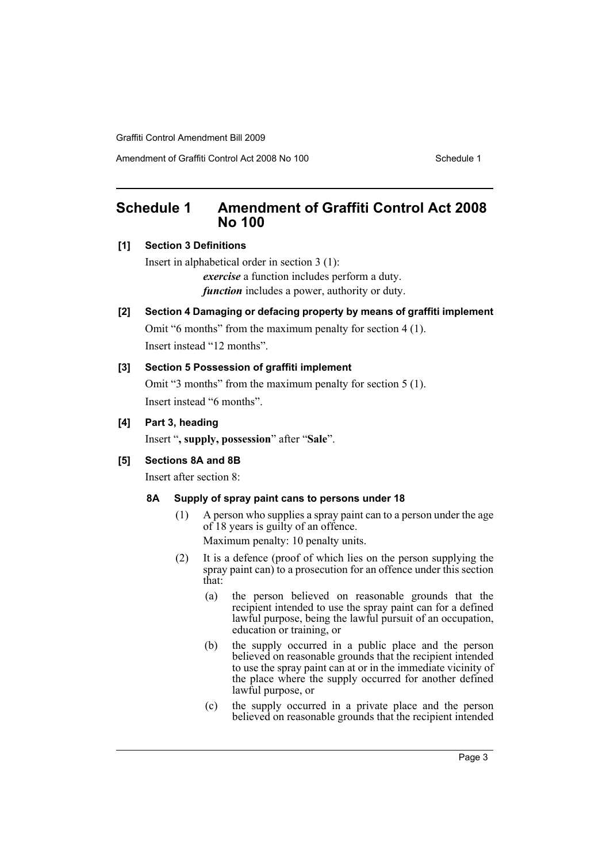Amendment of Graffiti Control Act 2008 No 100 Schedule 1

# <span id="page-3-0"></span>**Schedule 1 Amendment of Graffiti Control Act 2008 No 100**

# **[1] Section 3 Definitions**

Insert in alphabetical order in section 3 (1): *exercise* a function includes perform a duty. *function* includes a power, authority or duty.

# **[2] Section 4 Damaging or defacing property by means of graffiti implement**

Omit "6 months" from the maximum penalty for section 4 (1). Insert instead "12 months".

# **[3] Section 5 Possession of graffiti implement**

Omit "3 months" from the maximum penalty for section 5 (1). Insert instead "6 months".

# **[4] Part 3, heading**

Insert "**, supply, possession**" after "**Sale**".

# **[5] Sections 8A and 8B**

Insert after section 8:

# **8A Supply of spray paint cans to persons under 18**

- (1) A person who supplies a spray paint can to a person under the age of 18 years is guilty of an offence. Maximum penalty: 10 penalty units.
- (2) It is a defence (proof of which lies on the person supplying the spray paint can) to a prosecution for an offence under this section that:
	- (a) the person believed on reasonable grounds that the recipient intended to use the spray paint can for a defined lawful purpose, being the lawful pursuit of an occupation, education or training, or
	- (b) the supply occurred in a public place and the person believed on reasonable grounds that the recipient intended to use the spray paint can at or in the immediate vicinity of the place where the supply occurred for another defined lawful purpose, or
	- (c) the supply occurred in a private place and the person believed on reasonable grounds that the recipient intended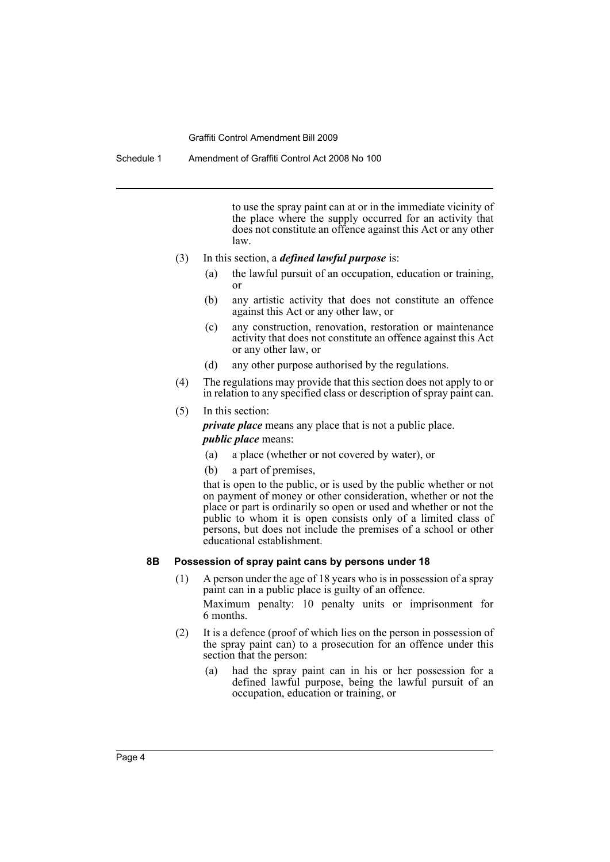Schedule 1 Amendment of Graffiti Control Act 2008 No 100

to use the spray paint can at or in the immediate vicinity of the place where the supply occurred for an activity that does not constitute an offence against this Act or any other law.

- (3) In this section, a *defined lawful purpose* is:
	- (a) the lawful pursuit of an occupation, education or training, or
	- (b) any artistic activity that does not constitute an offence against this Act or any other law, or
	- (c) any construction, renovation, restoration or maintenance activity that does not constitute an offence against this Act or any other law, or
	- (d) any other purpose authorised by the regulations.
- (4) The regulations may provide that this section does not apply to or in relation to any specified class or description of spray paint can.
- (5) In this section:

*private place* means any place that is not a public place.

#### *public place* means:

- (a) a place (whether or not covered by water), or
- (b) a part of premises,

that is open to the public, or is used by the public whether or not on payment of money or other consideration, whether or not the place or part is ordinarily so open or used and whether or not the public to whom it is open consists only of a limited class of persons, but does not include the premises of a school or other educational establishment.

#### **8B Possession of spray paint cans by persons under 18**

- (1) A person under the age of 18 years who is in possession of a spray paint can in a public place is guilty of an offence. Maximum penalty: 10 penalty units or imprisonment for 6 months.
- (2) It is a defence (proof of which lies on the person in possession of the spray paint can) to a prosecution for an offence under this section that the person:
	- (a) had the spray paint can in his or her possession for a defined lawful purpose, being the lawful pursuit of an occupation, education or training, or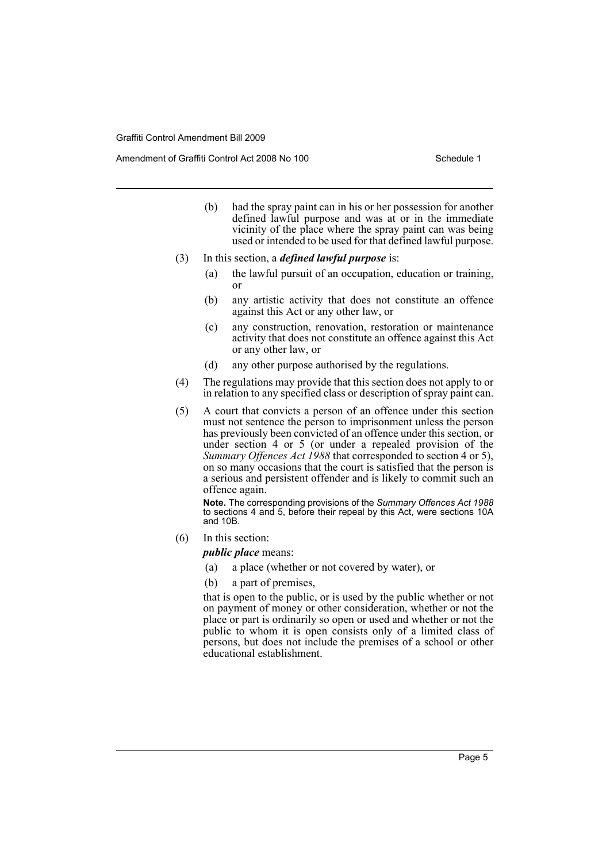Amendment of Graffiti Control Act 2008 No 100 Schedule 1

- (b) had the spray paint can in his or her possession for another defined lawful purpose and was at or in the immediate vicinity of the place where the spray paint can was being used or intended to be used for that defined lawful purpose.
- (3) In this section, a *defined lawful purpose* is:
	- (a) the lawful pursuit of an occupation, education or training, or
	- (b) any artistic activity that does not constitute an offence against this Act or any other law, or
	- (c) any construction, renovation, restoration or maintenance activity that does not constitute an offence against this Act or any other law, or
	- (d) any other purpose authorised by the regulations.
- (4) The regulations may provide that this section does not apply to or in relation to any specified class or description of spray paint can.
- (5) A court that convicts a person of an offence under this section must not sentence the person to imprisonment unless the person has previously been convicted of an offence under this section, or under section 4 or 5 (or under a repealed provision of the *Summary Offences Act 1988* that corresponded to section 4 or 5), on so many occasions that the court is satisfied that the person is a serious and persistent offender and is likely to commit such an offence again.

**Note.** The corresponding provisions of the *Summary Offences Act 1988* to sections 4 and 5, before their repeal by this Act, were sections 10A and 10B.

(6) In this section:

*public place* means:

- (a) a place (whether or not covered by water), or
- (b) a part of premises,

that is open to the public, or is used by the public whether or not on payment of money or other consideration, whether or not the place or part is ordinarily so open or used and whether or not the public to whom it is open consists only of a limited class of persons, but does not include the premises of a school or other educational establishment.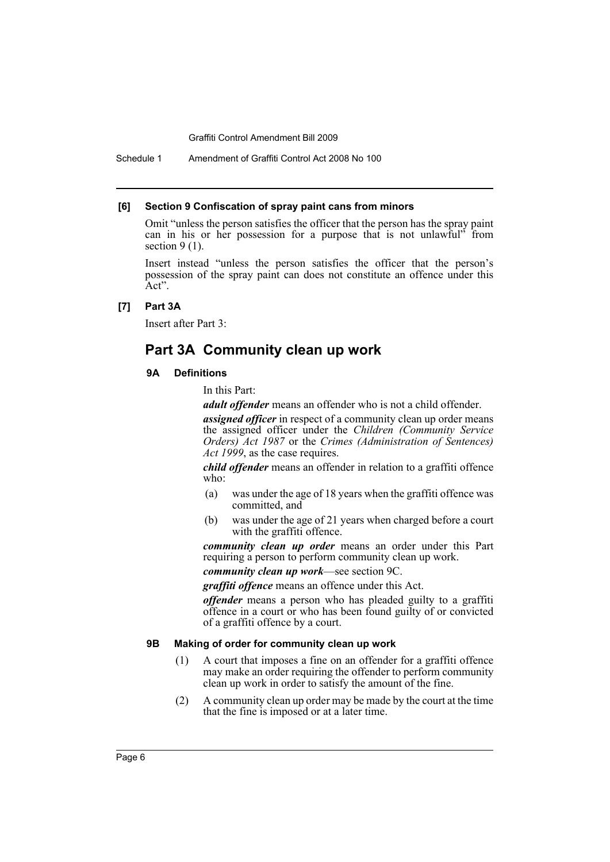Schedule 1 Amendment of Graffiti Control Act 2008 No 100

#### **[6] Section 9 Confiscation of spray paint cans from minors**

Omit "unless the person satisfies the officer that the person has the spray paint can in his or her possession for a purpose that is not unlawful" from section  $9(1)$ .

Insert instead "unless the person satisfies the officer that the person's possession of the spray paint can does not constitute an offence under this Act".

#### **[7] Part 3A**

Insert after Part 3:

# **Part 3A Community clean up work**

#### **9A Definitions**

In this Part:

*adult offender* means an offender who is not a child offender.

*assigned officer* in respect of a community clean up order means the assigned officer under the *Children (Community Service Orders) Act 1987* or the *Crimes (Administration of Sentences) Act 1999*, as the case requires.

*child offender* means an offender in relation to a graffiti offence who:

- (a) was under the age of 18 years when the graffiti offence was committed, and
- (b) was under the age of 21 years when charged before a court with the graffiti offence.

*community clean up order* means an order under this Part requiring a person to perform community clean up work.

## *community clean up work*—see section 9C.

*graffiti offence* means an offence under this Act.

*offender* means a person who has pleaded guilty to a graffiti offence in a court or who has been found guilty of or convicted of a graffiti offence by a court.

#### **9B Making of order for community clean up work**

- (1) A court that imposes a fine on an offender for a graffiti offence may make an order requiring the offender to perform community clean up work in order to satisfy the amount of the fine.
- (2) A community clean up order may be made by the court at the time that the fine is imposed or at a later time.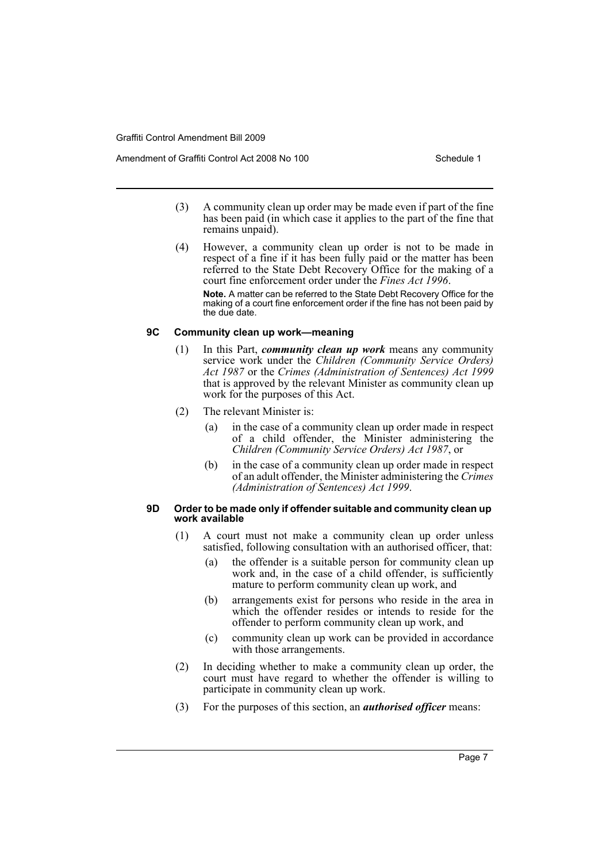Amendment of Graffiti Control Act 2008 No 100 Schedule 1

- (3) A community clean up order may be made even if part of the fine has been paid (in which case it applies to the part of the fine that remains unpaid).
- (4) However, a community clean up order is not to be made in respect of a fine if it has been fully paid or the matter has been referred to the State Debt Recovery Office for the making of a court fine enforcement order under the *Fines Act 1996*. **Note.** A matter can be referred to the State Debt Recovery Office for the making of a court fine enforcement order if the fine has not been paid by the due date.

## **9C Community clean up work—meaning**

- (1) In this Part, *community clean up work* means any community service work under the *Children (Community Service Orders) Act 1987* or the *Crimes (Administration of Sentences) Act 1999* that is approved by the relevant Minister as community clean up work for the purposes of this Act.
- (2) The relevant Minister is:
	- (a) in the case of a community clean up order made in respect of a child offender, the Minister administering the *Children (Community Service Orders) Act 1987*, or
	- (b) in the case of a community clean up order made in respect of an adult offender, the Minister administering the *Crimes (Administration of Sentences) Act 1999*.

#### **9D Order to be made only if offender suitable and community clean up work available**

- (1) A court must not make a community clean up order unless satisfied, following consultation with an authorised officer, that:
	- (a) the offender is a suitable person for community clean up work and, in the case of a child offender, is sufficiently mature to perform community clean up work, and
	- (b) arrangements exist for persons who reside in the area in which the offender resides or intends to reside for the offender to perform community clean up work, and
	- (c) community clean up work can be provided in accordance with those arrangements.
- (2) In deciding whether to make a community clean up order, the court must have regard to whether the offender is willing to participate in community clean up work.
- (3) For the purposes of this section, an *authorised officer* means: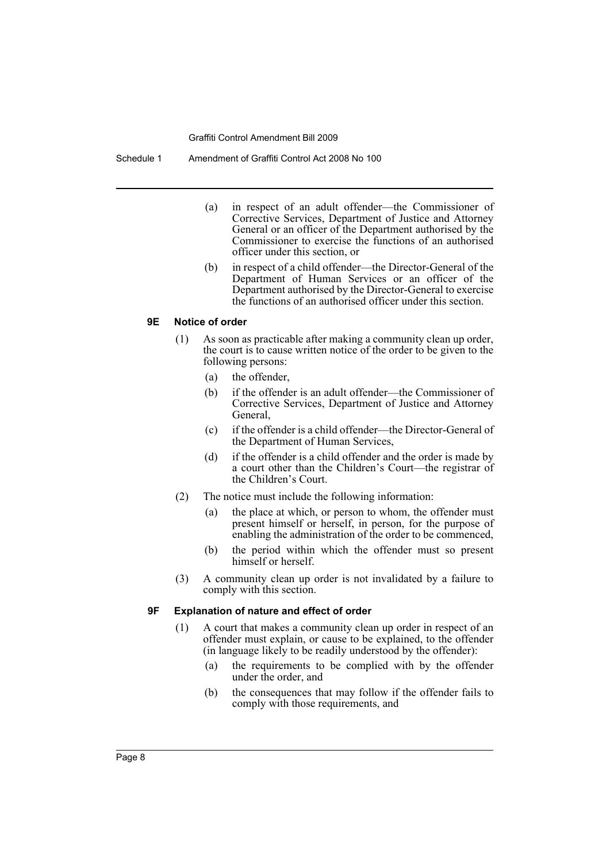Schedule 1 Amendment of Graffiti Control Act 2008 No 100

- (a) in respect of an adult offender—the Commissioner of Corrective Services, Department of Justice and Attorney General or an officer of the Department authorised by the Commissioner to exercise the functions of an authorised officer under this section, or
- (b) in respect of a child offender—the Director-General of the Department of Human Services or an officer of the Department authorised by the Director-General to exercise the functions of an authorised officer under this section.

#### **9E Notice of order**

- (1) As soon as practicable after making a community clean up order, the court is to cause written notice of the order to be given to the following persons:
	- (a) the offender,
	- (b) if the offender is an adult offender—the Commissioner of Corrective Services, Department of Justice and Attorney General,
	- (c) if the offender is a child offender—the Director-General of the Department of Human Services,
	- (d) if the offender is a child offender and the order is made by a court other than the Children's Court—the registrar of the Children's Court.
- (2) The notice must include the following information:
	- (a) the place at which, or person to whom, the offender must present himself or herself, in person, for the purpose of enabling the administration of the order to be commenced,
	- (b) the period within which the offender must so present himself or herself.
- (3) A community clean up order is not invalidated by a failure to comply with this section.

#### **9F Explanation of nature and effect of order**

- (1) A court that makes a community clean up order in respect of an offender must explain, or cause to be explained, to the offender (in language likely to be readily understood by the offender):
	- (a) the requirements to be complied with by the offender under the order, and
	- (b) the consequences that may follow if the offender fails to comply with those requirements, and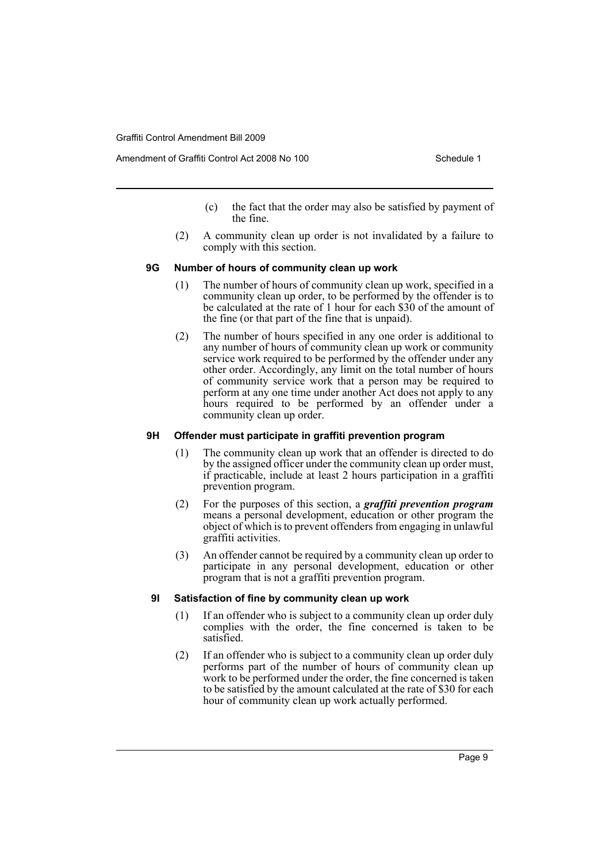- (c) the fact that the order may also be satisfied by payment of the fine.
- (2) A community clean up order is not invalidated by a failure to comply with this section.

#### **9G Number of hours of community clean up work**

- (1) The number of hours of community clean up work, specified in a community clean up order, to be performed by the offender is to be calculated at the rate of 1 hour for each \$30 of the amount of the fine (or that part of the fine that is unpaid).
- (2) The number of hours specified in any one order is additional to any number of hours of community clean up work or community service work required to be performed by the offender under any other order. Accordingly, any limit on the total number of hours of community service work that a person may be required to perform at any one time under another Act does not apply to any hours required to be performed by an offender under a community clean up order.

#### **9H Offender must participate in graffiti prevention program**

- (1) The community clean up work that an offender is directed to do by the assigned officer under the community clean up order must, if practicable, include at least 2 hours participation in a graffiti prevention program.
- (2) For the purposes of this section, a *graffiti prevention program* means a personal development, education or other program the object of which is to prevent offenders from engaging in unlawful graffiti activities.
- (3) An offender cannot be required by a community clean up order to participate in any personal development, education or other program that is not a graffiti prevention program.

#### **9I Satisfaction of fine by community clean up work**

- (1) If an offender who is subject to a community clean up order duly complies with the order, the fine concerned is taken to be satisfied.
- (2) If an offender who is subject to a community clean up order duly performs part of the number of hours of community clean up work to be performed under the order, the fine concerned is taken to be satisfied by the amount calculated at the rate of \$30 for each hour of community clean up work actually performed.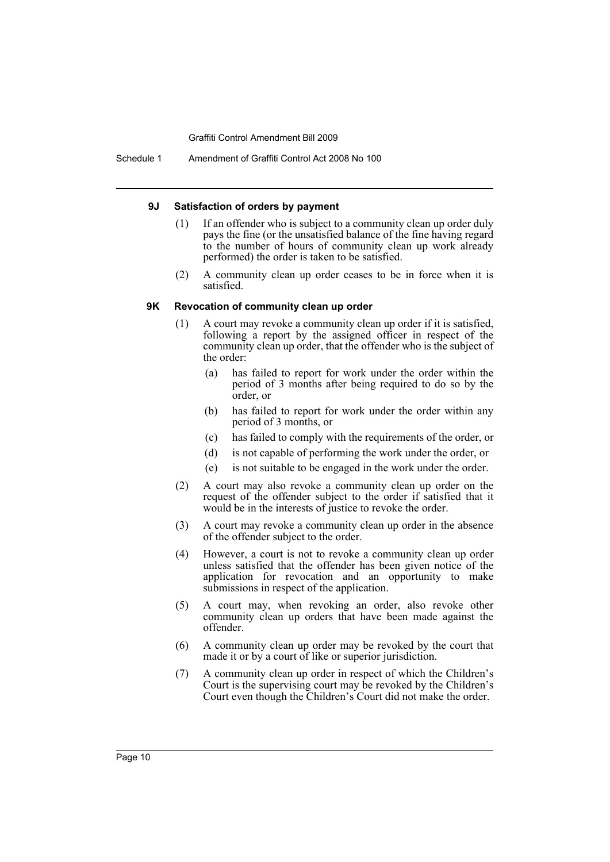Schedule 1 Amendment of Graffiti Control Act 2008 No 100

#### **9J Satisfaction of orders by payment**

- (1) If an offender who is subject to a community clean up order duly pays the fine (or the unsatisfied balance of the fine having regard to the number of hours of community clean up work already performed) the order is taken to be satisfied.
- (2) A community clean up order ceases to be in force when it is satisfied.

#### **9K Revocation of community clean up order**

- (1) A court may revoke a community clean up order if it is satisfied, following a report by the assigned officer in respect of the community clean up order, that the offender who is the subject of the order:
	- (a) has failed to report for work under the order within the period of 3 months after being required to do so by the order, or
	- (b) has failed to report for work under the order within any period of 3 months, or
	- (c) has failed to comply with the requirements of the order, or
	- (d) is not capable of performing the work under the order, or
	- (e) is not suitable to be engaged in the work under the order.
- (2) A court may also revoke a community clean up order on the request of the offender subject to the order if satisfied that it would be in the interests of justice to revoke the order.
- (3) A court may revoke a community clean up order in the absence of the offender subject to the order.
- (4) However, a court is not to revoke a community clean up order unless satisfied that the offender has been given notice of the application for revocation and an opportunity to make submissions in respect of the application.
- (5) A court may, when revoking an order, also revoke other community clean up orders that have been made against the offender.
- (6) A community clean up order may be revoked by the court that made it or by a court of like or superior jurisdiction.
- (7) A community clean up order in respect of which the Children's Court is the supervising court may be revoked by the Children's Court even though the Children's Court did not make the order.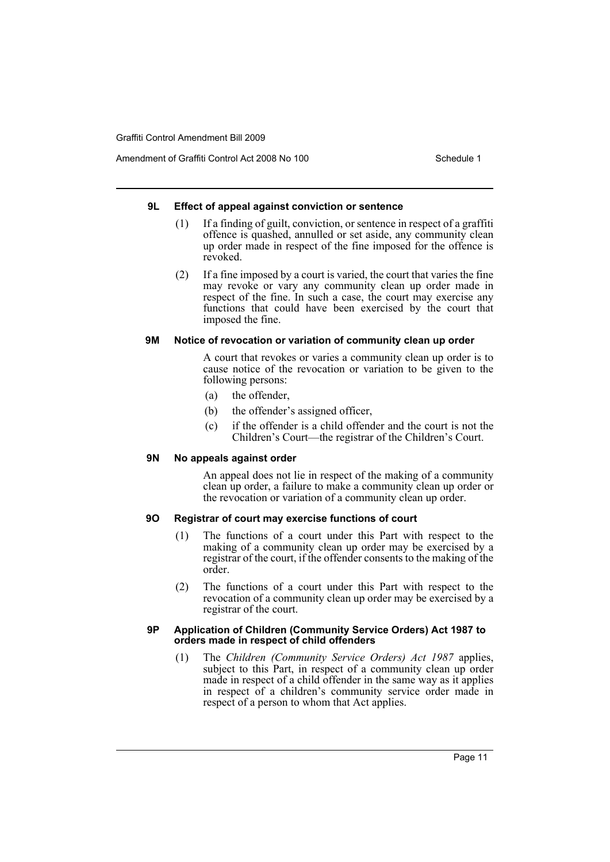Amendment of Graffiti Control Act 2008 No 100 Schedule 1

# **9L Effect of appeal against conviction or sentence**

- (1) If a finding of guilt, conviction, or sentence in respect of a graffiti offence is quashed, annulled or set aside, any community clean up order made in respect of the fine imposed for the offence is revoked.
- (2) If a fine imposed by a court is varied, the court that varies the fine may revoke or vary any community clean up order made in respect of the fine. In such a case, the court may exercise any functions that could have been exercised by the court that imposed the fine.

# **9M Notice of revocation or variation of community clean up order**

A court that revokes or varies a community clean up order is to cause notice of the revocation or variation to be given to the following persons:

- (a) the offender,
- (b) the offender's assigned officer,
- (c) if the offender is a child offender and the court is not the Children's Court—the registrar of the Children's Court.

# **9N No appeals against order**

An appeal does not lie in respect of the making of a community clean up order, a failure to make a community clean up order or the revocation or variation of a community clean up order.

# **9O Registrar of court may exercise functions of court**

- (1) The functions of a court under this Part with respect to the making of a community clean up order may be exercised by a registrar of the court, if the offender consents to the making of the order.
- (2) The functions of a court under this Part with respect to the revocation of a community clean up order may be exercised by a registrar of the court.

#### **9P Application of Children (Community Service Orders) Act 1987 to orders made in respect of child offenders**

(1) The *Children (Community Service Orders) Act 1987* applies, subject to this Part, in respect of a community clean up order made in respect of a child offender in the same way as it applies in respect of a children's community service order made in respect of a person to whom that Act applies.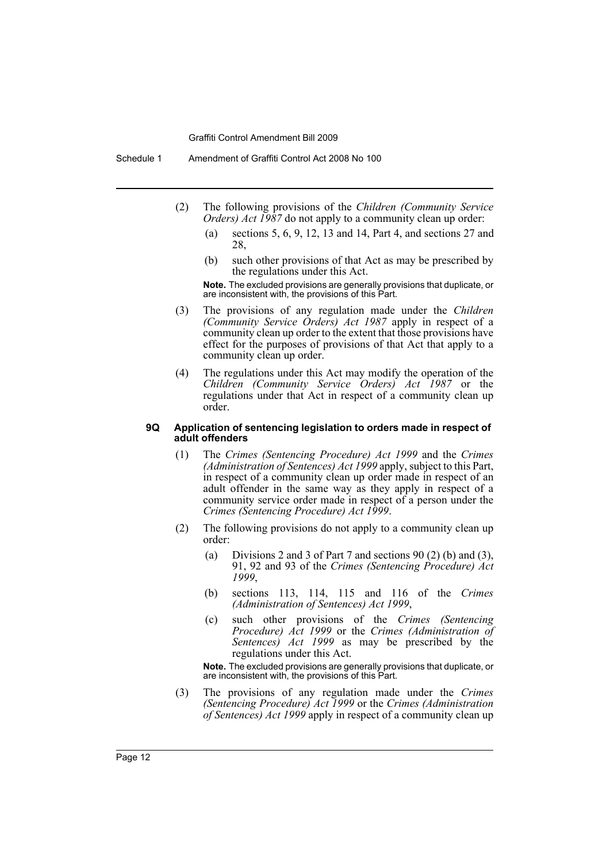Schedule 1 Amendment of Graffiti Control Act 2008 No 100

- (2) The following provisions of the *Children (Community Service Orders) Act 1987* do not apply to a community clean up order:
	- (a) sections 5, 6, 9, 12, 13 and 14, Part 4, and sections 27 and 28,
	- (b) such other provisions of that Act as may be prescribed by the regulations under this Act.

**Note.** The excluded provisions are generally provisions that duplicate, or are inconsistent with, the provisions of this Part.

- (3) The provisions of any regulation made under the *Children (Community Service Orders) Act 1987* apply in respect of a community clean up order to the extent that those provisions have effect for the purposes of provisions of that Act that apply to a community clean up order.
- (4) The regulations under this Act may modify the operation of the *Children (Community Service Orders) Act 1987* or the regulations under that Act in respect of a community clean up order.

#### **9Q Application of sentencing legislation to orders made in respect of adult offenders**

- (1) The *Crimes (Sentencing Procedure) Act 1999* and the *Crimes (Administration of Sentences) Act 1999* apply, subject to this Part, in respect of a community clean up order made in respect of an adult offender in the same way as they apply in respect of a community service order made in respect of a person under the *Crimes (Sentencing Procedure) Act 1999*.
- (2) The following provisions do not apply to a community clean up order:
	- (a) Divisions 2 and 3 of Part 7 and sections 90 (2) (b) and (3), 91, 92 and 93 of the *Crimes (Sentencing Procedure) Act 1999*,
	- (b) sections 113, 114, 115 and 116 of the *Crimes (Administration of Sentences) Act 1999*,
	- (c) such other provisions of the *Crimes (Sentencing Procedure) Act 1999* or the *Crimes (Administration of Sentences) Act 1999* as may be prescribed by the regulations under this Act.

**Note.** The excluded provisions are generally provisions that duplicate, or are inconsistent with, the provisions of this Part.

(3) The provisions of any regulation made under the *Crimes (Sentencing Procedure) Act 1999* or the *Crimes (Administration of Sentences) Act 1999* apply in respect of a community clean up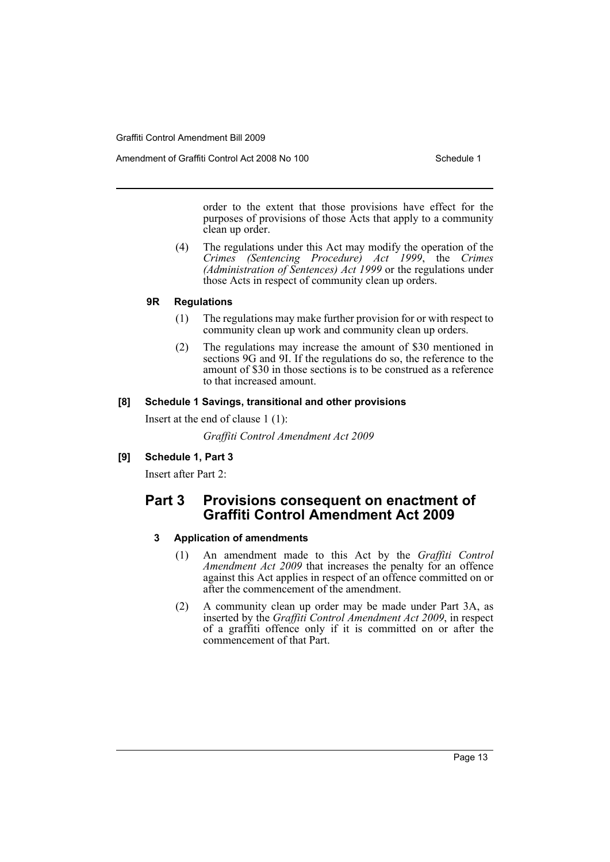Amendment of Graffiti Control Act 2008 No 100 Schedule 1

order to the extent that those provisions have effect for the purposes of provisions of those Acts that apply to a community clean up order.

(4) The regulations under this Act may modify the operation of the *Crimes (Sentencing Procedure) Act 1999*, the *Crimes (Administration of Sentences) Act 1999* or the regulations under those Acts in respect of community clean up orders.

## **9R Regulations**

- (1) The regulations may make further provision for or with respect to community clean up work and community clean up orders.
- (2) The regulations may increase the amount of \$30 mentioned in sections 9G and 9I. If the regulations do so, the reference to the amount of \$30 in those sections is to be construed as a reference to that increased amount.

## **[8] Schedule 1 Savings, transitional and other provisions**

Insert at the end of clause 1 (1):

*Graffiti Control Amendment Act 2009*

# **[9] Schedule 1, Part 3**

Insert after Part 2:

# **Part 3 Provisions consequent on enactment of Graffiti Control Amendment Act 2009**

# **3 Application of amendments**

- (1) An amendment made to this Act by the *Graffiti Control Amendment Act 2009* that increases the penalty for an offence against this Act applies in respect of an offence committed on or after the commencement of the amendment.
- (2) A community clean up order may be made under Part 3A, as inserted by the *Graffiti Control Amendment Act 2009*, in respect of a graffiti offence only if it is committed on or after the commencement of that Part.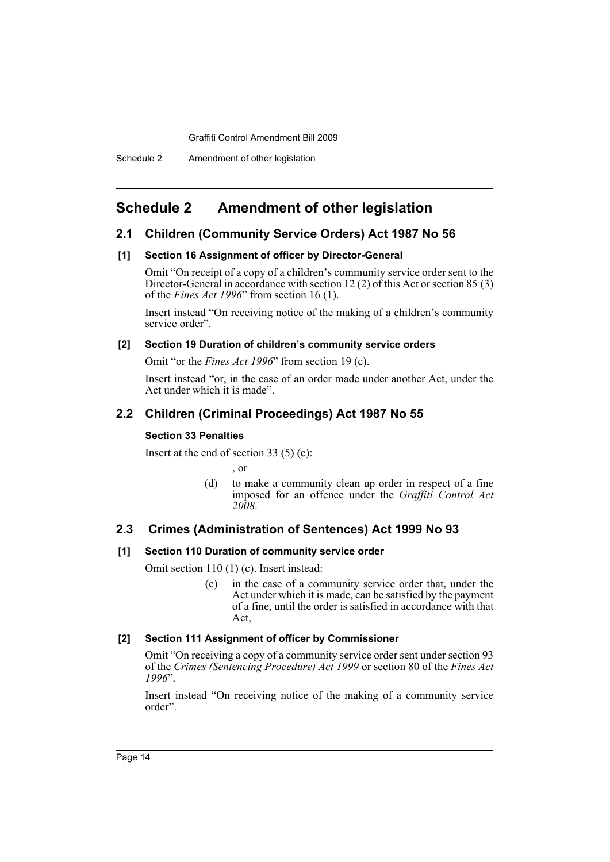# <span id="page-14-0"></span>**Schedule 2 Amendment of other legislation**

# **2.1 Children (Community Service Orders) Act 1987 No 56**

## **[1] Section 16 Assignment of officer by Director-General**

Omit "On receipt of a copy of a children's community service order sent to the Director-General in accordance with section 12 (2) of this Act or section 85 (3) of the *Fines Act 1996*" from section 16 (1).

Insert instead "On receiving notice of the making of a children's community service order".

## **[2] Section 19 Duration of children's community service orders**

Omit "or the *Fines Act 1996*" from section 19 (c).

Insert instead "or, in the case of an order made under another Act, under the Act under which it is made".

# **2.2 Children (Criminal Proceedings) Act 1987 No 55**

#### **Section 33 Penalties**

Insert at the end of section 33  $(5)$  (c):

, or

(d) to make a community clean up order in respect of a fine imposed for an offence under the *Graffiti Control Act 2008*.

# **2.3 Crimes (Administration of Sentences) Act 1999 No 93**

#### **[1] Section 110 Duration of community service order**

Omit section 110 (1) (c). Insert instead:

(c) in the case of a community service order that, under the Act under which it is made, can be satisfied by the payment of a fine, until the order is satisfied in accordance with that Act,

# **[2] Section 111 Assignment of officer by Commissioner**

Omit "On receiving a copy of a community service order sent under section 93 of the *Crimes (Sentencing Procedure) Act 1999* or section 80 of the *Fines Act 1996*".

Insert instead "On receiving notice of the making of a community service order".